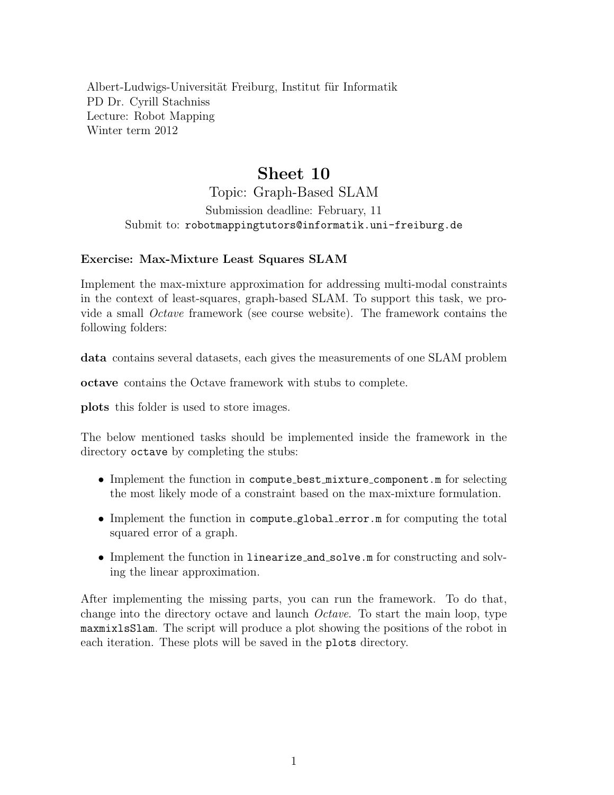Albert-Ludwigs-Universität Freiburg, Institut für Informatik PD Dr. Cyrill Stachniss Lecture: Robot Mapping Winter term 2012

## Sheet 10

Topic: Graph-Based SLAM Submission deadline: February, 11 Submit to: robotmappingtutors@informatik.uni-freiburg.de

## Exercise: Max-Mixture Least Squares SLAM

Implement the max-mixture approximation for addressing multi-modal constraints in the context of least-squares, graph-based SLAM. To support this task, we provide a small Octave framework (see course website). The framework contains the following folders:

data contains several datasets, each gives the measurements of one SLAM problem

octave contains the Octave framework with stubs to complete.

plots this folder is used to store images.

The below mentioned tasks should be implemented inside the framework in the directory octave by completing the stubs:

- Implement the function in compute\_best\_mixture\_component.m for selecting the most likely mode of a constraint based on the max-mixture formulation.
- Implement the function in compute global error.m for computing the total squared error of a graph.
- Implement the function in linearize and solve.m for constructing and solving the linear approximation.

After implementing the missing parts, you can run the framework. To do that, change into the directory octave and launch Octave. To start the main loop, type maxmixlsSlam. The script will produce a plot showing the positions of the robot in each iteration. These plots will be saved in the plots directory.